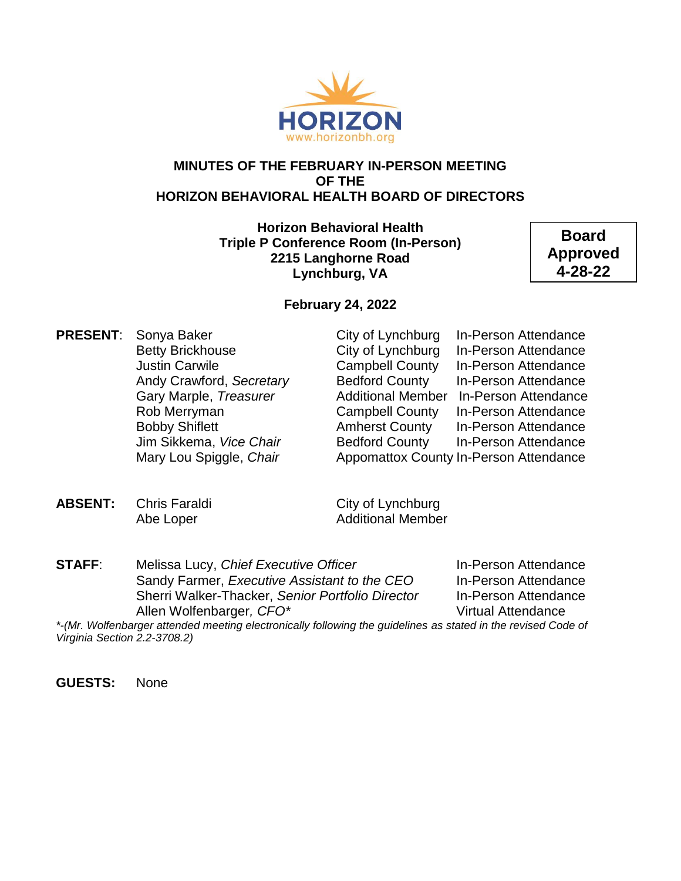

#### **MINUTES OF THE FEBRUARY IN-PERSON MEETING OF THE HORIZON BEHAVIORAL HEALTH BOARD OF DIRECTORS**

**Horizon Behavioral Health Triple P Conference Room (In-Person) 2215 Langhorne Road Lynchburg, VA**

**Board Approved 4-28-22**

#### **February 24, 2022**

**PRESENT:** Sonya Baker City of Lynchburg In-Person Attendance

Betty Brickhouse **City of Lynchburg** In-Person Attendance Justin Carwile Campbell County In-Person Attendance Andy Crawford, *Secretary* Bedford County In-Person Attendance Gary Marple, *Treasurer* Additional Member In-Person Attendance Rob Merryman **Campbell County** In-Person Attendance Bobby Shiflett **Amherst County** In-Person Attendance Jim Sikkema, *Vice Chair* Bedford County In-Person Attendance Mary Lou Spiggle, *Chair* Appomattox County In-Person Attendance

**ABSENT:** Chris Faraldi City of Lynchburg

Abe Loper **Additional Member** 

**STAFF:** Melissa Lucy, *Chief Executive Officer* In-Person Attendance Sandy Farmer, *Executive Assistant to the CEO* In-Person Attendance Sherri Walker-Thacker, *Senior Portfolio Director* In-Person Attendance Allen Wolfenbarger*, CFO\** Virtual Attendance

*\*-(Mr. Wolfenbarger attended meeting electronically following the guidelines as stated in the revised Code of Virginia Section 2.2-3708.2)*

**GUESTS:** None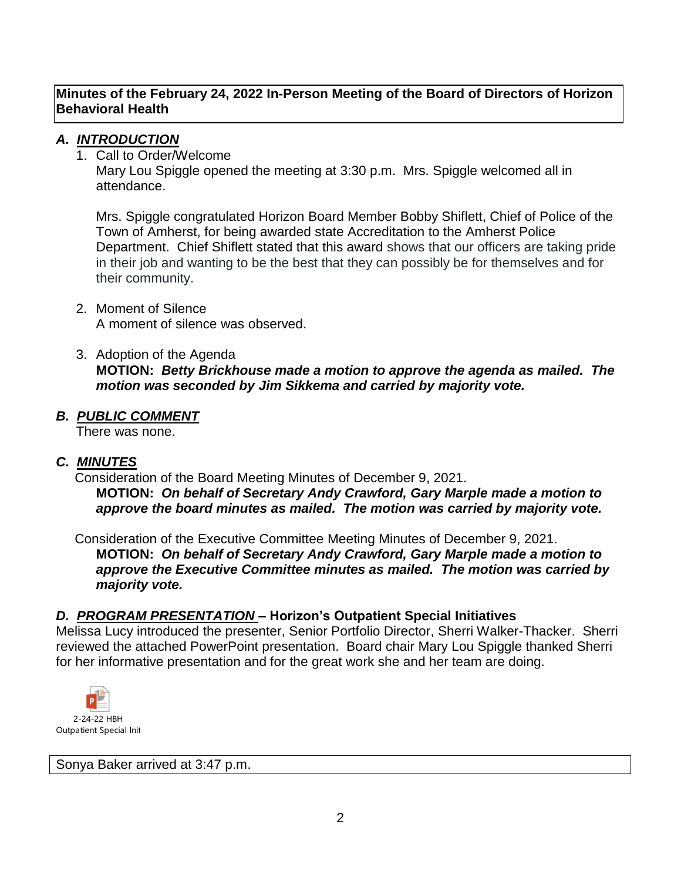## *A. INTRODUCTION*

1. Call to Order/Welcome

Mary Lou Spiggle opened the meeting at 3:30 p.m. Mrs. Spiggle welcomed all in attendance.

Mrs. Spiggle congratulated Horizon Board Member Bobby Shiflett, Chief of Police of the Town of Amherst, for being awarded state Accreditation to the Amherst Police Department. Chief Shiflett stated that this award shows that our officers are taking pride in their job and wanting to be the best that they can possibly be for themselves and for their community.

- 2. Moment of Silence A moment of silence was observed.
- 3. Adoption of the Agenda **MOTION:** *Betty Brickhouse made a motion to approve the agenda as mailed. The motion was seconded by Jim Sikkema and carried by majority vote.*

#### *B. PUBLIC COMMENT*

There was none.

## *C. MINUTES*

 Consideration of the Board Meeting Minutes of December 9, 2021. **MOTION:** *On behalf of Secretary Andy Crawford, Gary Marple made a motion to approve the board minutes as mailed. The motion was carried by majority vote.*

 Consideration of the Executive Committee Meeting Minutes of December 9, 2021. **MOTION:** *On behalf of Secretary Andy Crawford, Gary Marple made a motion to approve the Executive Committee minutes as mailed. The motion was carried by majority vote.*

## *D. PROGRAM PRESENTATION* **– Horizon's Outpatient Special Initiatives**

Melissa Lucy introduced the presenter, Senior Portfolio Director, Sherri Walker-Thacker. Sherri reviewed the attached PowerPoint presentation. Board chair Mary Lou Spiggle thanked Sherri for her informative presentation and for the great work she and her team are doing.



Sonya Baker arrived at 3:47 p.m.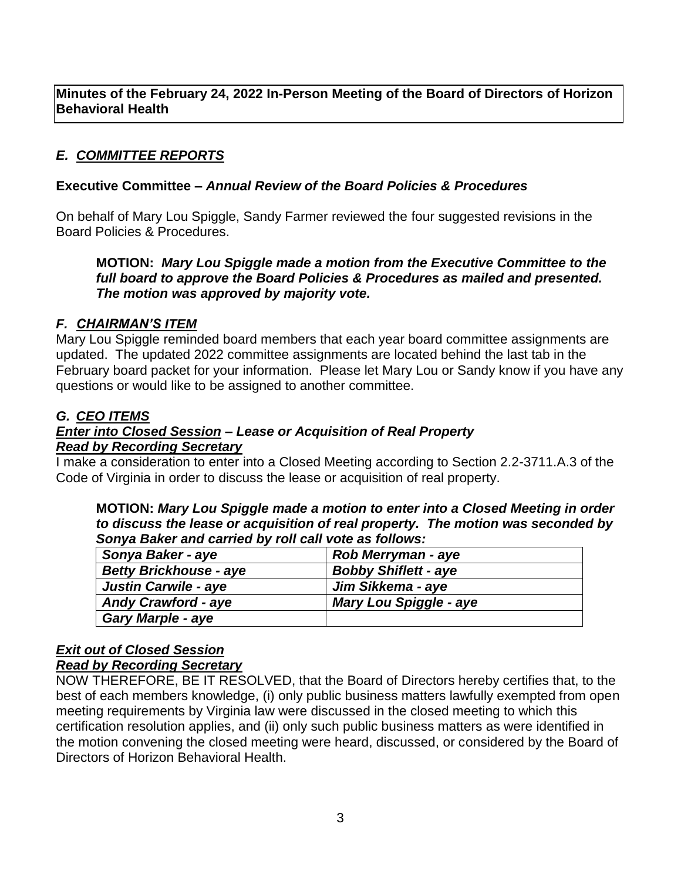## *E. COMMITTEE REPORTS*

### **Executive Committee** *– Annual Review of the Board Policies & Procedures*

On behalf of Mary Lou Spiggle, Sandy Farmer reviewed the four suggested revisions in the Board Policies & Procedures.

**MOTION:** *Mary Lou Spiggle made a motion from the Executive Committee to the full board to approve the Board Policies & Procedures as mailed and presented. The motion was approved by majority vote.*

#### *F. CHAIRMAN'S ITEM*

Mary Lou Spiggle reminded board members that each year board committee assignments are updated. The updated 2022 committee assignments are located behind the last tab in the February board packet for your information. Please let Mary Lou or Sandy know if you have any questions or would like to be assigned to another committee.

## *G. CEO ITEMS*

#### *Enter into Closed Session – Lease or Acquisition of Real Property Read by Recording Secretary*

I make a consideration to enter into a Closed Meeting according to Section 2.2-3711.A.3 of the Code of Virginia in order to discuss the lease or acquisition of real property.

**MOTION:** *Mary Lou Spiggle made a motion to enter into a Closed Meeting in order to discuss the lease or acquisition of real property. The motion was seconded by Sonya Baker and carried by roll call vote as follows:*

| Sonya Baker - aye             | Rob Merryman - aye            |
|-------------------------------|-------------------------------|
| <b>Betty Brickhouse - aye</b> | <b>Bobby Shiflett - aye</b>   |
| <b>Justin Carwile - aye</b>   | Jim Sikkema - aye             |
| <b>Andy Crawford - aye</b>    | <b>Mary Lou Spiggle - aye</b> |
| <b>Gary Marple - aye</b>      |                               |

#### *Exit out of Closed Session*

#### *Read by Recording Secretary*

NOW THEREFORE, BE IT RESOLVED, that the Board of Directors hereby certifies that, to the best of each members knowledge, (i) only public business matters lawfully exempted from open meeting requirements by Virginia law were discussed in the closed meeting to which this certification resolution applies, and (ii) only such public business matters as were identified in the motion convening the closed meeting were heard, discussed, or considered by the Board of Directors of Horizon Behavioral Health.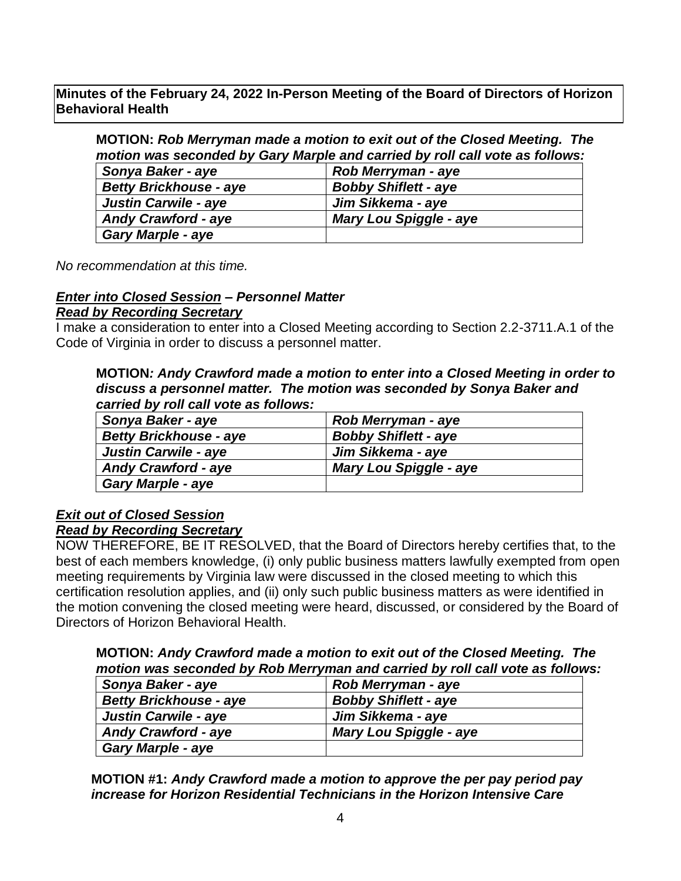**MOTION:** *Rob Merryman made a motion to exit out of the Closed Meeting. The motion was seconded by Gary Marple and carried by roll call vote as follows:*

| Sonya Baker - aye             | Rob Merryman - aye            |
|-------------------------------|-------------------------------|
| <b>Betty Brickhouse - aye</b> | <b>Bobby Shiflett - aye</b>   |
| Justin Carwile - aye          | Jim Sikkema - aye             |
| <b>Andy Crawford - aye</b>    | <b>Mary Lou Spiggle - aye</b> |
| <b>Gary Marple - aye</b>      |                               |

*No recommendation at this time.*

## *Enter into Closed Session – Personnel Matter*

#### *Read by Recording Secretary*

I make a consideration to enter into a Closed Meeting according to Section 2.2-3711.A.1 of the Code of Virginia in order to discuss a personnel matter.

#### **MOTION***: Andy Crawford made a motion to enter into a Closed Meeting in order to discuss a personnel matter. The motion was seconded by Sonya Baker and carried by roll call vote as follows:*

| Sonya Baker - aye             | <b>Rob Merryman - aye</b>     |
|-------------------------------|-------------------------------|
| <b>Betty Brickhouse - aye</b> | <b>Bobby Shiflett - aye</b>   |
| <b>Justin Carwile - aye</b>   | Jim Sikkema - aye             |
| <b>Andy Crawford - aye</b>    | <b>Mary Lou Spiggle - aye</b> |
| <b>Gary Marple - aye</b>      |                               |

# *Exit out of Closed Session*

## *Read by Recording Secretary*

NOW THEREFORE, BE IT RESOLVED, that the Board of Directors hereby certifies that, to the best of each members knowledge, (i) only public business matters lawfully exempted from open meeting requirements by Virginia law were discussed in the closed meeting to which this certification resolution applies, and (ii) only such public business matters as were identified in the motion convening the closed meeting were heard, discussed, or considered by the Board of Directors of Horizon Behavioral Health.

| MOTION: Andy Crawford made a motion to exit out of the Closed Meeting. The    |  |  |  |
|-------------------------------------------------------------------------------|--|--|--|
| motion was seconded by Rob Merryman and carried by roll call vote as follows: |  |  |  |

| Sonya Baker - aye             | <b>Rob Merryman - aye</b>     |
|-------------------------------|-------------------------------|
| <b>Betty Brickhouse - aye</b> | <b>Bobby Shiflett - aye</b>   |
| <b>Justin Carwile - aye</b>   | Jim Sikkema - aye             |
| <b>Andy Crawford - aye</b>    | <b>Mary Lou Spiggle - aye</b> |
| <b>Gary Marple - aye</b>      |                               |

**MOTION #1:** *Andy Crawford made a motion to approve the per pay period pay increase for Horizon Residential Technicians in the Horizon Intensive Care*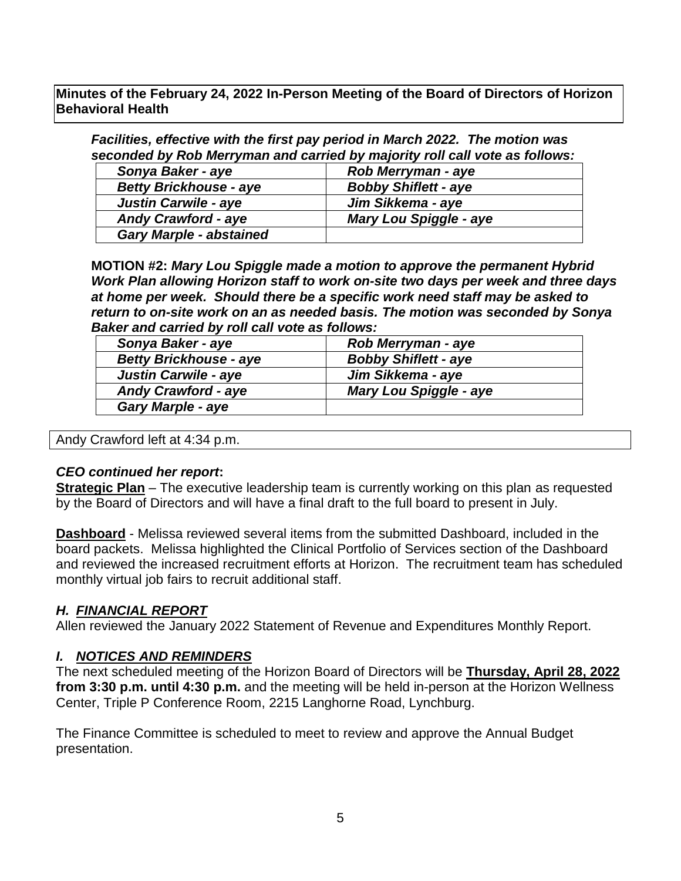*Facilities, effective with the first pay period in March 2022. The motion was seconded by Rob Merryman and carried by majority roll call vote as follows:*

| Sonya Baker - aye              | Rob Merryman - aye            |
|--------------------------------|-------------------------------|
| <b>Betty Brickhouse - aye</b>  | <b>Bobby Shiflett - aye</b>   |
| <b>Justin Carwile - aye</b>    | Jim Sikkema - aye             |
| <b>Andy Crawford - aye</b>     | <b>Mary Lou Spiggle - aye</b> |
| <b>Gary Marple - abstained</b> |                               |

**MOTION #2:** *Mary Lou Spiggle made a motion to approve the permanent Hybrid Work Plan allowing Horizon staff to work on-site two days per week and three days at home per week. Should there be a specific work need staff may be asked to return to on-site work on an as needed basis. The motion was seconded by Sonya Baker and carried by roll call vote as follows:*

| Sonya Baker - aye             | <b>Rob Merryman - aye</b>     |
|-------------------------------|-------------------------------|
| <b>Betty Brickhouse - aye</b> | <b>Bobby Shiflett - aye</b>   |
| <b>Justin Carwile - aye</b>   | Jim Sikkema - aye             |
| <b>Andy Crawford - aye</b>    | <b>Mary Lou Spiggle - aye</b> |
| <b>Gary Marple - aye</b>      |                               |

Andy Crawford left at 4:34 p.m.

#### *CEO continued her report***:**

**Strategic Plan** – The executive leadership team is currently working on this plan as requested by the Board of Directors and will have a final draft to the full board to present in July.

**Dashboard** - Melissa reviewed several items from the submitted Dashboard, included in the board packets. Melissa highlighted the Clinical Portfolio of Services section of the Dashboard and reviewed the increased recruitment efforts at Horizon. The recruitment team has scheduled monthly virtual job fairs to recruit additional staff.

#### *H. FINANCIAL REPORT*

Allen reviewed the January 2022 Statement of Revenue and Expenditures Monthly Report.

#### *I. NOTICES AND REMINDERS*

The next scheduled meeting of the Horizon Board of Directors will be **Thursday, April 28, 2022 from 3:30 p.m. until 4:30 p.m.** and the meeting will be held in-person at the Horizon Wellness Center, Triple P Conference Room, 2215 Langhorne Road, Lynchburg.

The Finance Committee is scheduled to meet to review and approve the Annual Budget presentation.